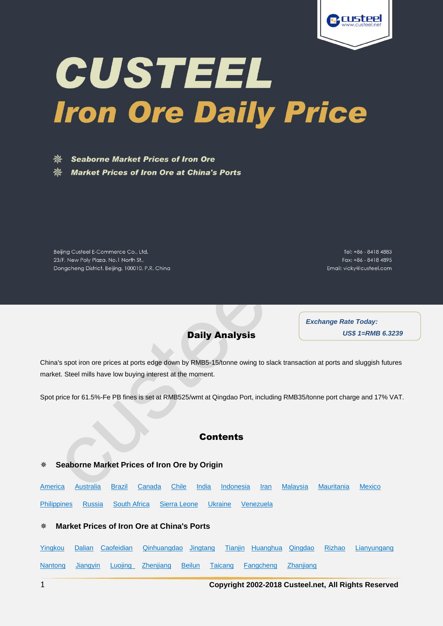

# CUSTEEL **Iron Ore Daily Price**

**Seaborne Market Prices of Iron Ore Market Prices of Iron Ore at China's Ports** 

Beijing Custeel E-Commerce Co., Ltd. 23/F, New Poly Plaza, No.1 North St.,

Dongcheng District. Beijing, 100010, P.R. China

Tel: +86 - 8418 4883 Fax: +86 - 8418 4895 Email: vicky@custeel.com

Daily Analysis

*Exchange Rate Today: US\$ 1=RMB 6.3239*

<span id="page-0-0"></span>China's spot iron ore prices at ports edge down by RMB5-15/tonne owing to slack transaction at ports and sluggish futures market. Steel mills have low buying interest at the moment.

Spot price for 61.5%-Fe PB fines is set at RMB525/wmt at Qingdao Port, including RMB35/tonne port charge and 17% VAT.

## **Contents**

### **Seaborne Market Prices of Iron Ore by Origin**

[America](#page-1-0) [Australia](#page-1-1) [Brazil](#page-1-2) [Canada](#page-1-3) [Chile](#page-2-0) [India](#page-2-1) [Indonesia](#page-2-2) [Iran](#page-2-3) [Malaysia](#page-3-0) [Mauritania](#page-3-1) [Mexico](#page-3-2) [Philippines](#page-3-3) [Russia](#page-3-4) [South Africa](#page-4-0) [Sierra](#page-4-1) Leone [Ukraine](#page-4-2) [Venezuela](#page-4-3)

#### **Market Prices of Iron Ore at China's Ports**

[Yingkou](#page-4-4) [Dalian](#page-5-0) [Caofeidian](#page-5-1) [Qinhuangdao](#page-6-0) [Jingtang](#page-6-1) [Tianjin](#page-7-0) [Huanghua](#page-8-0) [Qingdao](#page-8-1) [Rizhao](#page-9-0) [Lianyungang](#page-10-0)  [Nantong](#page-11-0) [Jiangyin](#page-11-1) [Luojing](#page-12-0) [Zhenjiang](#page-12-1) [Beilun](#page-13-0) [Taicang](#page-13-1) [Fangcheng](#page-14-0) [Zhanjiang](#page-15-0)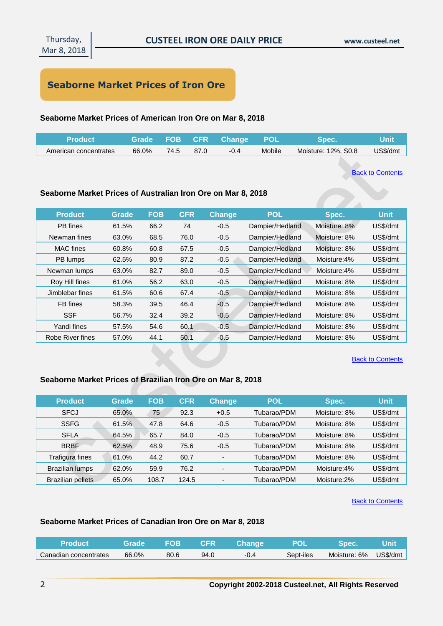# **Seaborne Market Prices of Iron Ore**

## <span id="page-1-0"></span>**Seaborne Market Prices of American Iron Ore on Mar 8, 2018**

| <b>Product</b>        |       |      |      | Grade FOB CFR Change | <b>POL</b> | <b>Spec.</b>        | <b>Unit</b> |
|-----------------------|-------|------|------|----------------------|------------|---------------------|-------------|
| American concentrates | 66.0% | 74.5 | 87.0 | $-0.4$               | Mobile     | Moisture: 12%, S0.8 | US\$/dmt    |

**[Back to Contents](#page-0-0)** 

## <span id="page-1-1"></span>**Seaborne Market Prices of Australian Iron Ore on Mar 8, 2018**

| <b>Product</b>   | Grade | <b>FOB</b> | <b>CFR</b> | <b>Change</b> | <b>POL</b>      | Spec.        | <b>Unit</b> |
|------------------|-------|------------|------------|---------------|-----------------|--------------|-------------|
| PB fines         | 61.5% | 66.2       | 74         | $-0.5$        | Dampier/Hedland | Moisture: 8% | US\$/dmt    |
| Newman fines     | 63.0% | 68.5       | 76.0       | $-0.5$        | Dampier/Hedland | Moisture: 8% | US\$/dmt    |
| <b>MAC</b> fines | 60.8% | 60.8       | 67.5       | $-0.5$        | Dampier/Hedland | Moisture: 8% | US\$/dmt    |
| PB lumps         | 62.5% | 80.9       | 87.2       | $-0.5$        | Dampier/Hedland | Moisture:4%  | US\$/dmt    |
| Newman lumps     | 63.0% | 82.7       | 89.0       | $-0.5$        | Dampier/Hedland | Moisture:4%  | US\$/dmt    |
| Roy Hill fines   | 61.0% | 56.2       | 63.0       | $-0.5$        | Dampier/Hedland | Moisture: 8% | US\$/dmt    |
| Jimblebar fines  | 61.5% | 60.6       | 67.4       | $-0.5$        | Dampier/Hedland | Moisture: 8% | US\$/dmt    |
| FB fines         | 58.3% | 39.5       | 46.4       | $-0.5$        | Dampier/Hedland | Moisture: 8% | US\$/dmt    |
| <b>SSF</b>       | 56.7% | 32.4       | 39.2       | $-0.5$        | Dampier/Hedland | Moisture: 8% | US\$/dmt    |
| Yandi fines      | 57.5% | 54.6       | 60.1       | $-0.5$        | Dampier/Hedland | Moisture: 8% | US\$/dmt    |
| Robe River fines | 57.0% | 44.1       | 50.1       | $-0.5$        | Dampier/Hedland | Moisture: 8% | US\$/dmt    |

#### **[Back to Contents](#page-0-0)**

## <span id="page-1-2"></span>**Seaborne Market Prices of Brazilian Iron Ore on Mar 8, 2018**

| <b>Product</b>           | Grade | <b>FOB</b> | <b>CFR</b> | <b>Change</b>            | <b>POL</b>  | Spec.        | <b>Unit</b> |
|--------------------------|-------|------------|------------|--------------------------|-------------|--------------|-------------|
| <b>SFCJ</b>              | 65.0% | 75         | 92.3       | $+0.5$                   | Tubarao/PDM | Moisture: 8% | US\$/dmt    |
| <b>SSFG</b>              | 61.5% | 47.8       | 64.6       | $-0.5$                   | Tubarao/PDM | Moisture: 8% | US\$/dmt    |
| <b>SFLA</b>              | 64.5% | 65.7       | 84.0       | $-0.5$                   | Tubarao/PDM | Moisture: 8% | US\$/dmt    |
| <b>BRBF</b>              | 62.5% | 48.9       | 75.6       | $-0.5$                   | Tubarao/PDM | Moisture: 8% | US\$/dmt    |
| Trafigura fines          | 61.0% | 44.2       | 60.7       | $\overline{\phantom{a}}$ | Tubarao/PDM | Moisture: 8% | US\$/dmt    |
| <b>Brazilian lumps</b>   | 62.0% | 59.9       | 76.2       |                          | Tubarao/PDM | Moisture:4%  | US\$/dmt    |
| <b>Brazilian pellets</b> | 65.0% | 108.7      | 124.5      | $\overline{\phantom{a}}$ | Tubarao/PDM | Moisture:2%  | US\$/dmt    |

#### **[Back to Contents](#page-0-0)**

## <span id="page-1-3"></span>**Seaborne Market Prices of Canadian Iron Ore on Mar 8, 2018**

| <b>Product</b>        | Grade | <b>FOB</b> | <b>NCFR N</b> | <b>Change</b> |           |              |          |
|-----------------------|-------|------------|---------------|---------------|-----------|--------------|----------|
| Canadian concentrates | 66.0% | 80.6       | 94.0          | $-0.4$        | Sept-iles | Moisture: 6% | US\$/dmt |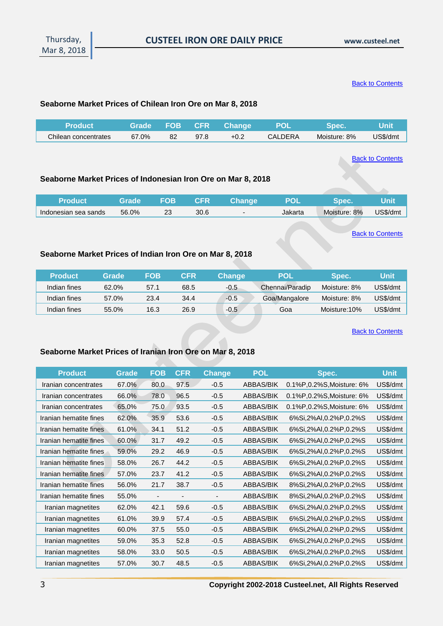**[Back to Contents](#page-0-0)** 

#### <span id="page-2-0"></span>**Seaborne Market Prices of Chilean Iron Ore on Mar 8, 2018**

| <b>Product</b>       | <b>Grade</b> |    |      | FOB CFR Change | YPOL    | <b>Spec</b>  | Unit     |
|----------------------|--------------|----|------|----------------|---------|--------------|----------|
| Chilean concentrates | 67.0%        | 82 | 97.8 | $+0.2$         | CALDERA | Moisture: 8% | US\$/dmt |

**[Back to Contents](#page-0-0)** 

#### <span id="page-2-2"></span>**Seaborne Market Prices of Indonesian Iron Ore on Mar 8, 2018**

| <b>Product</b>       | Grade' | <b>FOB</b> | <b>CFR</b> | <b>Change</b> |         | Spec.        |          |
|----------------------|--------|------------|------------|---------------|---------|--------------|----------|
| Indonesian sea sands | 56.0%  |            | 30.6       |               | Jakarta | Moisture: 8% | US\$/dmt |

**[Back to Contents](#page-0-0)** 

#### <span id="page-2-1"></span>**Seaborne Market Prices of Indian Iron Ore on Mar 8, 2018**

| <b>Product</b> | Grade | <b>FOB</b> | CFR  | Change | POL             | Spec.        | <b>Unit</b> |
|----------------|-------|------------|------|--------|-----------------|--------------|-------------|
| Indian fines   | 62.0% | 57.1       | 68.5 | $-0.5$ | Chennai/Paradip | Moisture: 8% | US\$/dmt    |
| Indian fines   | 57.0% | 23.4       | 34.4 | $-0.5$ | Goa/Mangalore   | Moisture: 8% | US\$/dmt    |
| Indian fines   | 55.0% | 16.3       | 26.9 | $-0.5$ | Goa             | Moisture:10% | US\$/dmt    |

[Back to Contents](#page-0-0)

#### <span id="page-2-3"></span>**Seaborne Market Prices of Iranian Iron Ore on Mar 8, 2018**

| <b>Product</b>         | Grade | <b>FOB</b>               | <b>CFR</b>                   | Change | <b>POL</b>       | Spec.                     | <b>Unit</b> |
|------------------------|-------|--------------------------|------------------------------|--------|------------------|---------------------------|-------------|
| Iranian concentrates   | 67.0% | 80.0                     | 97.5                         | $-0.5$ | <b>ABBAS/BIK</b> | 0.1%P,0.2%S, Moisture: 6% | US\$/dmt    |
| Iranian concentrates   | 66.0% | 78.0                     | 96.5                         | $-0.5$ | <b>ABBAS/BIK</b> | 0.1%P,0.2%S, Moisture: 6% | US\$/dmt    |
| Iranian concentrates   | 65.0% | 75.0                     | 93.5                         | $-0.5$ | <b>ABBAS/BIK</b> | 0.1%P,0.2%S, Moisture: 6% | US\$/dmt    |
| Iranian hematite fines | 62.0% | 35.9                     | 53.6                         | $-0.5$ | ABBAS/BIK        | 6%Si,2%Al,0.2%P,0.2%S     | US\$/dmt    |
| Iranian hematite fines | 61.0% | 34.1                     | 51.2                         | $-0.5$ | ABBAS/BIK        | 6%Si,2%AI,0.2%P,0.2%S     | US\$/dmt    |
| Iranian hematite fines | 60.0% | 31.7                     | 49.2                         | $-0.5$ | ABBAS/BIK        | 6%Si,2%AI,0.2%P,0.2%S     | US\$/dmt    |
| Iranian hematite fines | 59.0% | 29.2                     | 46.9                         | $-0.5$ | ABBAS/BIK        | 6%Si,2%Al,0.2%P,0.2%S     | US\$/dmt    |
| Iranian hematite fines | 58.0% | 26.7                     | 44.2                         | $-0.5$ | ABBAS/BIK        | 6%Si,2%AI,0.2%P,0.2%S     | US\$/dmt    |
| Iranian hematite fines | 57.0% | 23.7                     | 41.2                         | $-0.5$ | ABBAS/BIK        | 6%Si,2%Al,0.2%P,0.2%S     | US\$/dmt    |
| Iranian hematite fines | 56.0% | 21.7                     | 38.7                         | $-0.5$ | ABBAS/BIK        | 8%Si,2%AI,0.2%P,0.2%S     | US\$/dmt    |
| Iranian hematite fines | 55.0% | $\overline{\phantom{a}}$ | $\qquad \qquad \blacksquare$ |        | ABBAS/BIK        | 8%Si,2%Al,0.2%P,0.2%S     | US\$/dmt    |
| Iranian magnetites     | 62.0% | 42.1                     | 59.6                         | $-0.5$ | ABBAS/BIK        | 6%Si,2%AI,0.2%P,0.2%S     | US\$/dmt    |
| Iranian magnetites     | 61.0% | 39.9                     | 57.4                         | $-0.5$ | ABBAS/BIK        | 6%Si,2%AI,0.2%P,0.2%S     | US\$/dmt    |
| Iranian magnetites     | 60.0% | 37.5                     | 55.0                         | $-0.5$ | ABBAS/BIK        | 6%Si,2%Al,0.2%P,0.2%S     | US\$/dmt    |
| Iranian magnetites     | 59.0% | 35.3                     | 52.8                         | $-0.5$ | <b>ABBAS/BIK</b> | 6%Si,2%Al,0.2%P,0.2%S     | US\$/dmt    |
| Iranian magnetites     | 58.0% | 33.0                     | 50.5                         | $-0.5$ | ABBAS/BIK        | 6%Si,2%AI,0.2%P,0.2%S     | US\$/dmt    |
| Iranian magnetites     | 57.0% | 30.7                     | 48.5                         | $-0.5$ | <b>ABBAS/BIK</b> | 6%Si,2%AI,0.2%P,0.2%S     | US\$/dmt    |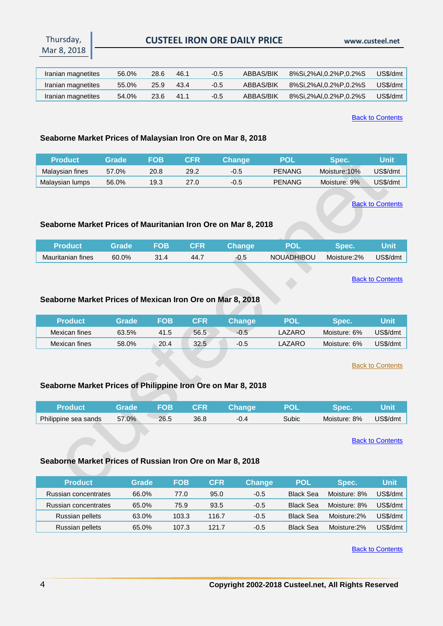## **CUSTEEL IRON ORE DAILY PRICE www.custeel.net**

| Iranian magnetites | 56.0% | 28.6 | 46.1 | $-0.5$ | ABBAS/BIK | 8%Si.2%AI.0.2%P.0.2%S | US\$/dmt |
|--------------------|-------|------|------|--------|-----------|-----------------------|----------|
| Iranian magnetites | 55.0% | 25.9 | 43.4 | $-0.5$ | ABBAS/BIK | 8%Si.2%AI.0.2%P.0.2%S | US\$/dmt |
| Iranian magnetites | 54.0% | 23.6 | 41.1 | $-0.5$ | ABBAS/BIK | 8%Si,2%AI,0.2%P,0.2%S | US\$/dmt |

**[Back to Contents](#page-0-0)** 

#### <span id="page-3-0"></span>**Seaborne Market Prices of Malaysian Iron Ore on Mar 8, 2018**

| Product         | <b>Grade</b> | FOB  | CFR  | Changel | POI           | <b>YDEC.</b> | Unit     |
|-----------------|--------------|------|------|---------|---------------|--------------|----------|
| Malaysian fines | 57.0%        | 20.8 | 29.2 | -0.5    | <b>PENANG</b> | Moisture:10% | JS\$/dmt |
| Malaysian lumps | 56.0%        | 19.3 | 27.0 | -0.5    | <b>PENANG</b> | Moisture: 9% | JS\$/dmt |

[Back to Contents](#page-0-0)

#### <span id="page-3-1"></span>**Seaborne Market Prices of Mauritanian Iron Ore on Mar 8, 2018**

| /Product          | <b>Grade</b> | <b>FOB</b> | <b>NCFRIM</b> | <b>Change</b> | <b>POL</b>        | <b>Spec.</b> | lUnit    |
|-------------------|--------------|------------|---------------|---------------|-------------------|--------------|----------|
| Mauritanian fines | 60.0%        | 31.4       | 44.7          | -0.5          | <b>NOUADHIBOU</b> | Moisture:2%  | US\$/dmt |

#### **[Back to Contents](#page-0-0)**

#### <span id="page-3-2"></span>**Seaborne Market Prices of Mexican Iron Ore on Mar 8, 2018**

| <b>Product</b> | <b>Grade</b> ' | FOB  | CFR  | Change' | POI    | <b>Spec.</b> | Unit     |
|----------------|----------------|------|------|---------|--------|--------------|----------|
| Mexican fines  | 63.5%          | 41.5 | 56.5 | $-0.5$  | LAZARC | Moisture: 6% | US\$/dmt |
| Mexican fines  | 58.0%          | 20.4 | 32.5 | $-0.5$  | LAZARC | Moisture: 6% | US\$/dmt |

[Back to Contents](#page-0-0)

#### <span id="page-3-3"></span>**Seaborne Market Prices of Philippine Iron Ore on Mar 8, 2018**

| 'Product             | Grade | FOB  | <b>CFR</b> | <b>Change</b> |       |              |          |
|----------------------|-------|------|------------|---------------|-------|--------------|----------|
| Philippine sea sands | 57.0% | 26.5 | 36.8       | -0.4          | Subic | Moisture: 8% | US\$/dmt |

**[Back to Contents](#page-0-0)** 

#### <span id="page-3-4"></span>**Seaborne Market Prices of Russian Iron Ore on Mar 8, 2018**

| <b>Product</b>       | Grade | <b>FOB</b> | <b>CFR</b> | <b>Change</b> | <b>POL</b>       | Spec.        | <b>Unit</b> |
|----------------------|-------|------------|------------|---------------|------------------|--------------|-------------|
| Russian concentrates | 66.0% | 77.0       | 95.0       | $-0.5$        | <b>Black Sea</b> | Moisture: 8% | US\$/dmt    |
| Russian concentrates | 65.0% | 75.9       | 93.5       | $-0.5$        | <b>Black Sea</b> | Moisture: 8% | US\$/dmt    |
| Russian pellets      | 63.0% | 103.3      | 116.7      | $-0.5$        | <b>Black Sea</b> | Moisture:2%  | US\$/dmt    |
| Russian pellets      | 65.0% | 107.3      | 121.7      | $-0.5$        | <b>Black Sea</b> | Moisture:2%  | US\$/dmt    |

[Back to Contents](#page-0-0)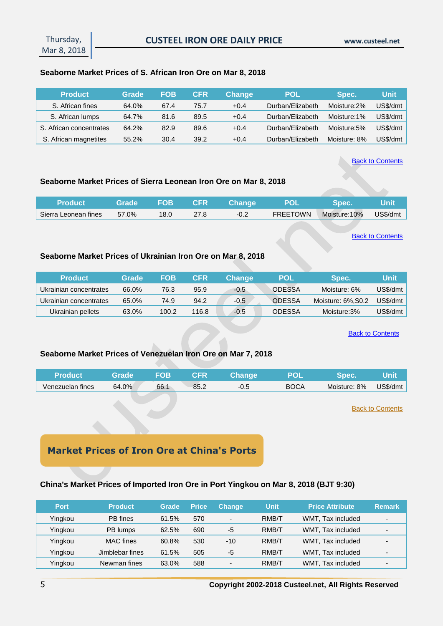#### <span id="page-4-0"></span>**Seaborne Market Prices of S. African Iron Ore on Mar 8, 2018**

| <b>Product</b>          | Grade | FOB  | CFR  | <b>Change</b> | POL              | Spec.        | Unit     |
|-------------------------|-------|------|------|---------------|------------------|--------------|----------|
| S. African fines        | 64.0% | 67.4 | 75.7 | $+0.4$        | Durban/Elizabeth | Moisture:2%  | US\$/dmt |
| S. African lumps        | 64.7% | 81.6 | 89.5 | $+0.4$        | Durban/Elizabeth | Moisture:1%  | US\$/dmt |
| S. African concentrates | 64.2% | 82.9 | 89.6 | $+0.4$        | Durban/Elizabeth | Moisture:5%  | US\$/dmt |
| S. African magnetites   | 55.2% | 30.4 | 39.2 | $+0.4$        | Durban/Elizabeth | Moisture: 8% | US\$/dmt |

**[Back to Contents](#page-0-0)** 

#### <span id="page-4-1"></span>**Seaborne Market Prices of Sierra Leonean Iron Ore on Mar 8, 2018**

| ⊾Product <b>\</b>    | Grade |      |      | <b>The STANDE CFR</b> Change | <b>POL</b>      | <b>Spec.</b> | Unit     |
|----------------------|-------|------|------|------------------------------|-----------------|--------------|----------|
| Sierra Leonean fines | 57.0% | 18.0 | 27.8 | $-0.2$                       | <b>FREETOWN</b> | Moisture:10% | US\$/dmt |

**[Back to Contents](#page-0-0)** 

#### <span id="page-4-2"></span>**Seaborne Market Prices of Ukrainian Iron Ore on Mar 8, 2018**

| <b>Product</b>         | Grade | FOB   | <b>CFR</b> | \Chanɑe \ | <b>POL</b>    | Spec.              | Unit     |
|------------------------|-------|-------|------------|-----------|---------------|--------------------|----------|
| Ukrainian concentrates | 66.0% | 76.3  | 95.9       | $-0.5$    | <b>ODESSA</b> | Moisture: 6%       | US\$/dmt |
| Ukrainian concentrates | 65.0% | 74.9  | 94.2       | $-0.5$    | <b>ODESSA</b> | Moisture: 6%, S0.2 | US\$/dmt |
| Ukrainian pellets      | 63.0% | 100.2 | 116.8      | $-0.5$    | <b>ODESSA</b> | Moisture:3%        | US\$/dmt |

[Back to Contents](#page-0-0)

## <span id="page-4-3"></span>**Seaborne Market Prices of Venezuelan Iron Ore on Mar 7, 2018**

| <b>Product</b>   | Grade | FOB  | ${\sf CFR}^{\sf t}$ | Change |             | <b>Spect</b> |          |
|------------------|-------|------|---------------------|--------|-------------|--------------|----------|
| Venezuelan fines | 64.0% | 66.1 | 85.2                | -0.5   | <b>BOCA</b> | Moisture: 8% | US\$/dmt |

**[Back to Contents](#page-0-0)** 

# **Market Prices of Iron Ore at China's Ports**

#### <span id="page-4-4"></span>**China's Market Prices of Imported Iron Ore in Port Yingkou on Mar 8, 2018 (BJT 9:30)**

| <b>Port</b> | <b>Product</b>   | Grade | <b>Price</b> | <b>Change</b> | <b>Unit</b> | <b>Price Attribute</b> | <b>Remark</b>            |
|-------------|------------------|-------|--------------|---------------|-------------|------------------------|--------------------------|
| Yingkou     | PB fines         | 61.5% | 570          | -             | RMB/T       | WMT, Tax included      | $\overline{\phantom{0}}$ |
| Yingkou     | PB lumps         | 62.5% | 690          | -5            | RMB/T       | WMT. Tax included      | $\overline{\phantom{a}}$ |
| Yingkou     | <b>MAC</b> fines | 60.8% | 530          | $-10$         | RMB/T       | WMT, Tax included      | $\overline{\phantom{a}}$ |
| Yingkou     | Jimblebar fines  | 61.5% | 505          | -5            | RMB/T       | WMT, Tax included      |                          |
| Yingkou     | Newman fines     | 63.0% | 588          | -             | RMB/T       | WMT, Tax included      | -                        |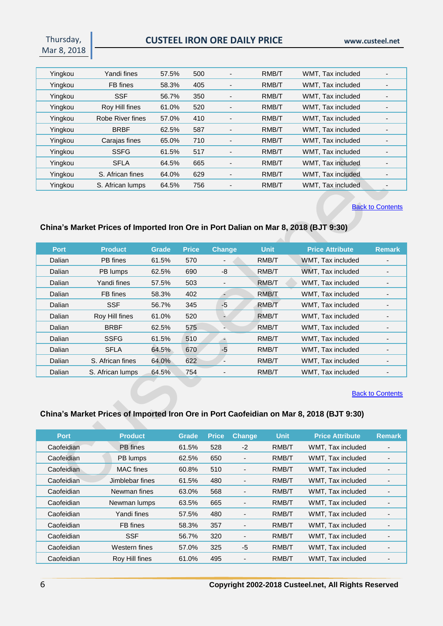Thursday, Mar 8, 2018

| Yingkou | Yandi fines      | 57.5% | 500 | -                        | RMB/T | WMT, Tax included |  |
|---------|------------------|-------|-----|--------------------------|-------|-------------------|--|
| Yingkou | FB fines         | 58.3% | 405 | $\overline{\phantom{0}}$ | RMB/T | WMT, Tax included |  |
| Yingkou | <b>SSF</b>       | 56.7% | 350 | -                        | RMB/T | WMT, Tax included |  |
| Yingkou | Roy Hill fines   | 61.0% | 520 | $\blacksquare$           | RMB/T | WMT, Tax included |  |
| Yingkou | Robe River fines | 57.0% | 410 | $\overline{\phantom{a}}$ | RMB/T | WMT. Tax included |  |
| Yingkou | <b>BRBF</b>      | 62.5% | 587 |                          | RMB/T | WMT, Tax included |  |
| Yingkou | Carajas fines    | 65.0% | 710 | $\overline{\phantom{0}}$ | RMB/T | WMT, Tax included |  |
| Yingkou | <b>SSFG</b>      | 61.5% | 517 | $\overline{\phantom{0}}$ | RMB/T | WMT, Tax included |  |
| Yingkou | <b>SFLA</b>      | 64.5% | 665 | -                        | RMB/T | WMT, Tax included |  |
| Yingkou | S. African fines | 64.0% | 629 |                          | RMB/T | WMT, Tax included |  |
| Yingkou | S. African lumps | 64.5% | 756 | $\overline{\phantom{0}}$ | RMB/T | WMT. Tax included |  |

#### **[Back to Contents](#page-0-0)**

## <span id="page-5-0"></span>**China's Market Prices of Imported Iron Ore in Port Dalian on Mar 8, 2018 (BJT 9:30)**

| <b>Port</b> | <b>Product</b>   | <b>Grade</b> | <b>Price</b> | <b>Change</b>            | <b>Unit</b> | <b>Price Attribute</b> | <b>Remark</b> |
|-------------|------------------|--------------|--------------|--------------------------|-------------|------------------------|---------------|
| Dalian      | PB fines         | 61.5%        | 570          | $\overline{\phantom{a}}$ | RMB/T       | WMT, Tax included      |               |
| Dalian      | PB lumps         | 62.5%        | 690          | -8                       | RMB/T       | WMT. Tax included      |               |
| Dalian      | Yandi fines      | 57.5%        | 503          | -                        | RMB/T       | WMT, Tax included      |               |
| Dalian      | FB fines         | 58.3%        | 402          |                          | RMB/T       | WMT. Tax included      |               |
| Dalian      | <b>SSF</b>       | 56.7%        | 345          | $-5$                     | RMB/T       | WMT. Tax included      |               |
| Dalian      | Roy Hill fines   | 61.0%        | 520          | ۰                        | RMB/T       | WMT, Tax included      |               |
| Dalian      | <b>BRBF</b>      | 62.5%        | 575          |                          | RMB/T       | WMT, Tax included      |               |
| Dalian      | <b>SSFG</b>      | 61.5%        | 510          |                          | RMB/T       | WMT, Tax included      |               |
| Dalian      | <b>SFLA</b>      | 64.5%        | 670          | $-5$                     | RMB/T       | WMT, Tax included      |               |
| Dalian      | S. African fines | 64.0%        | 622          |                          | RMB/T       | WMT, Tax included      |               |
| Dalian      | S. African lumps | 64.5%        | 754          |                          | RMB/T       | WMT, Tax included      |               |

#### **[Back to Contents](#page-0-0)**

## <span id="page-5-1"></span>**China's Market Prices of Imported Iron Ore in Port Caofeidian on Mar 8, 2018 (BJT 9:30)**

| <b>Port</b> | <b>Product</b>   | <b>Grade</b> | <b>Price</b> | <b>Change</b>                | <b>Unit</b> | <b>Price Attribute</b> | <b>Remark</b>            |
|-------------|------------------|--------------|--------------|------------------------------|-------------|------------------------|--------------------------|
| Caofeidian  | PB fines         | 61.5%        | 528          | $-2$                         | RMB/T       | WMT, Tax included      |                          |
| Caofeidian  | PB lumps         | 62.5%        | 650          | $\qquad \qquad \blacksquare$ | RMB/T       | WMT, Tax included      |                          |
| Caofeidian  | <b>MAC</b> fines | 60.8%        | 510          | $\qquad \qquad \blacksquare$ | RMB/T       | WMT, Tax included      |                          |
| Caofeidian  | Jimblebar fines  | 61.5%        | 480          |                              | RMB/T       | WMT. Tax included      |                          |
| Caofeidian  | Newman fines     | 63.0%        | 568          |                              | RMB/T       | WMT, Tax included      | ٠                        |
| Caofeidian  | Newman lumps     | 63.5%        | 665          |                              | RMB/T       | WMT, Tax included      | -                        |
| Caofeidian  | Yandi fines      | 57.5%        | 480          | -                            | RMB/T       | WMT. Tax included      | -                        |
| Caofeidian  | FB fines         | 58.3%        | 357          | $\overline{a}$               | RMB/T       | WMT, Tax included      | $\overline{\phantom{a}}$ |
| Caofeidian  | <b>SSF</b>       | 56.7%        | 320          | $\overline{\phantom{0}}$     | RMB/T       | WMT, Tax included      | $\overline{\phantom{0}}$ |
| Caofeidian  | Western fines    | 57.0%        | 325          | -5                           | RMB/T       | WMT, Tax included      | $\overline{\phantom{0}}$ |
| Caofeidian  | Rov Hill fines   | 61.0%        | 495          |                              | RMB/T       | WMT, Tax included      | $\overline{\phantom{0}}$ |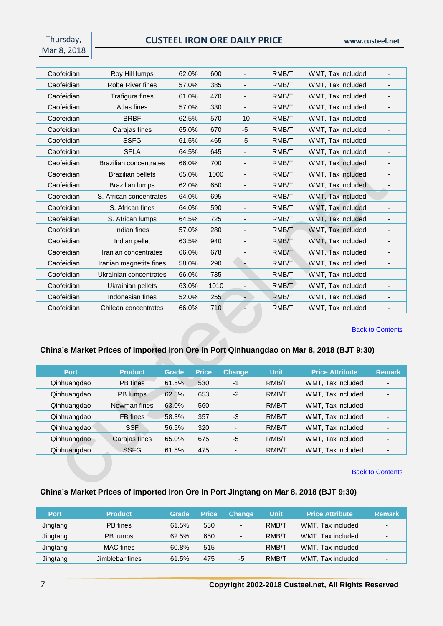Thursday, Mar 8, 2018

| Caofeidian | Roy Hill lumps                | 62.0% | 600  |                              | RMB/T | WMT, Tax included |                          |
|------------|-------------------------------|-------|------|------------------------------|-------|-------------------|--------------------------|
| Caofeidian | Robe River fines              | 57.0% | 385  | $\overline{\phantom{a}}$     | RMB/T | WMT, Tax included | $\overline{\phantom{0}}$ |
| Caofeidian | Trafigura fines               | 61.0% | 470  |                              | RMB/T | WMT, Tax included |                          |
| Caofeidian | Atlas fines                   | 57.0% | 330  | $\overline{\phantom{a}}$     | RMB/T | WMT, Tax included | $\overline{\phantom{0}}$ |
| Caofeidian | <b>BRBF</b>                   | 62.5% | 570  | $-10$                        | RMB/T | WMT, Tax included |                          |
| Caofeidian | Carajas fines                 | 65.0% | 670  | -5                           | RMB/T | WMT, Tax included |                          |
| Caofeidian | <b>SSFG</b>                   | 61.5% | 465  | -5                           | RMB/T | WMT, Tax included | $\overline{\phantom{0}}$ |
| Caofeidian | <b>SFLA</b>                   | 64.5% | 645  |                              | RMB/T | WMT, Tax included |                          |
| Caofeidian | <b>Brazilian concentrates</b> | 66.0% | 700  | $\overline{\phantom{a}}$     | RMB/T | WMT, Tax included | $\overline{\phantom{0}}$ |
| Caofeidian | <b>Brazilian pellets</b>      | 65.0% | 1000 | $\qquad \qquad \blacksquare$ | RMB/T | WMT, Tax included |                          |
| Caofeidian | <b>Brazilian lumps</b>        | 62.0% | 650  | $\overline{a}$               | RMB/T | WMT, Tax included |                          |
| Caofeidian | S. African concentrates       | 64.0% | 695  | $\qquad \qquad \blacksquare$ | RMB/T | WMT, Tax included |                          |
| Caofeidian | S. African fines              | 64.0% | 590  |                              | RMB/T | WMT, Tax included |                          |
| Caofeidian | S. African lumps              | 64.5% | 725  | $\overline{\phantom{a}}$     | RMB/T | WMT, Tax included | $\overline{\phantom{a}}$ |
| Caofeidian | Indian fines                  | 57.0% | 280  | $\overline{a}$               | RMB/T | WMT, Tax included | $\overline{\phantom{0}}$ |
| Caofeidian | Indian pellet                 | 63.5% | 940  |                              | RMB/T | WMT, Tax included |                          |
| Caofeidian | Iranian concentrates          | 66.0% | 678  | $\overline{a}$               | RMB/T | WMT, Tax included | $\overline{\phantom{0}}$ |
| Caofeidian | Iranian magnetite fines       | 58.0% | 290  |                              | RMB/T | WMT, Tax included |                          |
| Caofeidian | Ukrainian concentrates        | 66.0% | 735  |                              | RMB/T | WMT, Tax included | -                        |
| Caofeidian | Ukrainian pellets             | 63.0% | 1010 |                              | RMB/T | WMT, Tax included |                          |
| Caofeidian | Indonesian fines              | 52.0% | 255  |                              | RMB/T | WMT, Tax included | -                        |
| Caofeidian | Chilean concentrates          | 66.0% | 710  |                              | RMB/T | WMT, Tax included |                          |

**[Back to Contents](#page-0-0)** 

## <span id="page-6-0"></span>**China's Market Prices of Imported Iron Ore in Port Qinhuangdao on Mar 8, 2018 (BJT 9:30)**

| <b>Port</b> | <b>Product</b> | Grade | <b>Price</b> | <b>Change</b>            | <b>Unit</b> | <b>Price Attribute</b> | <b>Remark</b> |
|-------------|----------------|-------|--------------|--------------------------|-------------|------------------------|---------------|
| Qinhuangdao | PB fines       | 61.5% | 530          | $-1$                     | RMB/T       | WMT, Tax included      |               |
| Qinhuangdao | PB lumps       | 62.5% | 653          | $-2$                     | RMB/T       | WMT, Tax included      |               |
| Qinhuangdao | Newman fines   | 63.0% | 560          | $\overline{\phantom{0}}$ | RMB/T       | WMT, Tax included      |               |
| Qinhuangdao | FB fines       | 58.3% | 357          | -3                       | RMB/T       | WMT, Tax included      |               |
| Qinhuangdao | <b>SSF</b>     | 56.5% | 320          | $\overline{\phantom{0}}$ | RMB/T       | WMT. Tax included      |               |
| Qinhuangdao | Carajas fines  | 65.0% | 675          | -5                       | RMB/T       | WMT, Tax included      |               |
| Qinhuangdao | <b>SSFG</b>    | 61.5% | 475          | ٠                        | RMB/T       | WMT. Tax included      |               |

**[Back to Contents](#page-0-0)** 

## <span id="page-6-1"></span>**China's Market Prices of Imported Iron Ore in Port Jingtang on Mar 8, 2018 (BJT 9:30)**

| <b>Port</b> | <b>Product</b>   | Grade | <b>Price</b> | <b>Change</b>            | Unit  | <b>Price Attribute</b> | <b>Remark</b> |
|-------------|------------------|-------|--------------|--------------------------|-------|------------------------|---------------|
| Jingtang    | PB fines         | 61.5% | 530          | $\overline{\phantom{0}}$ | RMB/T | WMT, Tax included      | -             |
| Jingtang    | PB lumps         | 62.5% | 650          | $\overline{\phantom{0}}$ | RMB/T | WMT, Tax included      | -             |
| Jingtang    | <b>MAC</b> fines | 60.8% | 515          | $\overline{\phantom{0}}$ | RMB/T | WMT, Tax included      |               |
| Jingtang    | Jimblebar fines  | 61.5% | 475          | -5                       | RMB/T | WMT. Tax included      |               |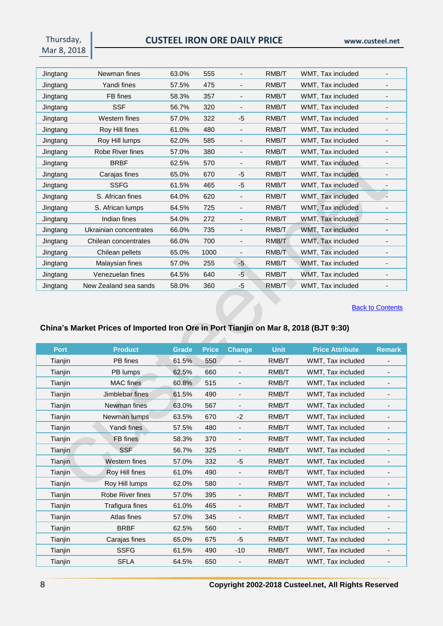Thursday, Mar 8, 2018

| Jingtang | Newman fines           | 63.0% | 555  | $\qquad \qquad \blacksquare$ | RMB/T | WMT, Tax included |                          |
|----------|------------------------|-------|------|------------------------------|-------|-------------------|--------------------------|
| Jingtang | Yandi fines            | 57.5% | 475  | $\overline{a}$               | RMB/T | WMT, Tax included |                          |
| Jingtang | FB fines               | 58.3% | 357  | $\overline{\phantom{a}}$     | RMB/T | WMT, Tax included |                          |
| Jingtang | <b>SSF</b>             | 56.7% | 320  | $\overline{\phantom{a}}$     | RMB/T | WMT, Tax included |                          |
| Jingtang | Western fines          | 57.0% | 322  | -5                           | RMB/T | WMT, Tax included |                          |
| Jingtang | Roy Hill fines         | 61.0% | 480  | $\overline{\phantom{a}}$     | RMB/T | WMT, Tax included |                          |
| Jingtang | Roy Hill lumps         | 62.0% | 585  | $\overline{\phantom{a}}$     | RMB/T | WMT, Tax included |                          |
| Jingtang | Robe River fines       | 57.0% | 380  | $\overline{\phantom{a}}$     | RMB/T | WMT, Tax included | $\overline{\phantom{a}}$ |
| Jingtang | <b>BRBF</b>            | 62.5% | 570  |                              | RMB/T | WMT, Tax included |                          |
| Jingtang | Carajas fines          | 65.0% | 670  | -5                           | RMB/T | WMT, Tax included |                          |
| Jingtang | <b>SSFG</b>            | 61.5% | 465  | -5                           | RMB/T | WMT, Tax included |                          |
| Jingtang | S. African fines       | 64.0% | 620  | $\overline{\phantom{a}}$     | RMB/T | WMT, Tax included |                          |
| Jingtang | S. African lumps       | 64.5% | 725  |                              | RMB/T | WMT, Tax included |                          |
| Jingtang | Indian fines           | 54.0% | 272  |                              | RMB/T | WMT, Tax included |                          |
| Jingtang | Ukrainian concentrates | 66.0% | 735  | $\overline{\phantom{a}}$     | RMB/T | WMT, Tax included |                          |
| Jingtang | Chilean concentrates   | 66.0% | 700  | $\overline{a}$               | RMB/T | WMT, Tax included |                          |
| Jingtang | Chilean pellets        | 65.0% | 1000 |                              | RMB/T | WMT, Tax included |                          |
| Jingtang | Malaysian fines        | 57.0% | 255  | -5                           | RMB/T | WMT, Tax included |                          |
| Jingtang | Venezuelan fines       | 64.5% | 640  | -5                           | RMB/T | WMT, Tax included |                          |
| Jingtang | New Zealand sea sands  | 58.0% | 360  | $-5$                         | RMB/T | WMT, Tax included |                          |

**[Back to Contents](#page-0-0)** 

# <span id="page-7-0"></span>**China's Market Prices of Imported Iron Ore in Port Tianjin on Mar 8, 2018 (BJT 9:30)**

| <b>Product</b>   | <b>Grade</b> | <b>Price</b> | <b>Change</b>            | <b>Unit</b> | <b>Price Attribute</b> | <b>Remark</b>                |
|------------------|--------------|--------------|--------------------------|-------------|------------------------|------------------------------|
| PB fines         | 61.5%        | 550          | $\overline{\phantom{a}}$ | RMB/T       | WMT, Tax included      | $\overline{\phantom{a}}$     |
| PB lumps         | 62.5%        | 660          | $\overline{\phantom{0}}$ | RMB/T       | WMT, Tax included      | $\overline{\phantom{a}}$     |
| MAC fines        | 60.8%        | 515          | $\overline{\phantom{0}}$ | RMB/T       | WMT, Tax included      | $\overline{\phantom{a}}$     |
| Jimblebar fines  | 61.5%        | 490          | -                        | RMB/T       | WMT, Tax included      |                              |
| Newman fines     | 63.0%        | 567          | $\overline{\phantom{a}}$ | RMB/T       | WMT, Tax included      |                              |
| Newman lumps     | 63.5%        | 670          | $-2$                     | RMB/T       | WMT, Tax included      |                              |
| Yandi fines      | 57.5%        | 480          | $\overline{\phantom{a}}$ | RMB/T       | WMT, Tax included      |                              |
| FB fines         | 58.3%        | 370          | $\overline{\phantom{a}}$ | RMB/T       | WMT, Tax included      | $\overline{\phantom{a}}$     |
| <b>SSF</b>       | 56.7%        | 325          | $\overline{\phantom{0}}$ | RMB/T       | WMT, Tax included      |                              |
| Western fines    | 57.0%        | 332          | -5                       | RMB/T       | WMT, Tax included      |                              |
| Roy Hill fines   | 61.0%        | 490          | $\overline{\phantom{a}}$ | RMB/T       | WMT, Tax included      |                              |
| Roy Hill lumps   | 62.0%        | 580          | -                        | RMB/T       | WMT, Tax included      |                              |
| Robe River fines | 57.0%        | 395          |                          | RMB/T       | WMT, Tax included      |                              |
| Trafigura fines  | 61.0%        | 465          | $\overline{\phantom{0}}$ | RMB/T       | WMT, Tax included      | $\overline{\phantom{a}}$     |
| Atlas fines      | 57.0%        | 345          | $\overline{\phantom{a}}$ | RMB/T       | WMT, Tax included      | $\overline{\phantom{a}}$     |
| <b>BRBF</b>      | 62.5%        | 560          | -                        | RMB/T       | WMT, Tax included      |                              |
| Carajas fines    | 65.0%        | 675          | -5                       | RMB/T       | WMT, Tax included      | $\overline{\phantom{a}}$     |
| <b>SSFG</b>      | 61.5%        | 490          | $-10$                    | RMB/T       | WMT, Tax included      | $\qquad \qquad \blacksquare$ |
| <b>SFLA</b>      | 64.5%        | 650          |                          | RMB/T       | WMT, Tax included      |                              |
|                  |              |              |                          |             |                        |                              |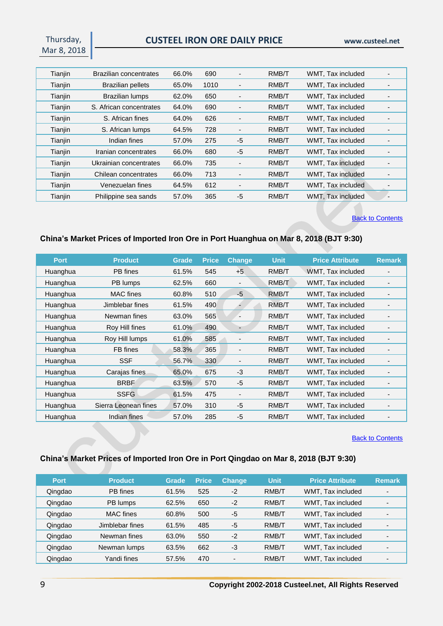Thursday, Mar 8, 2018

| Tianjin | Brazilian concentrates   | 66.0% | 690  | -                        | RMB/T | WMT, Tax included |  |
|---------|--------------------------|-------|------|--------------------------|-------|-------------------|--|
| Tianjin | <b>Brazilian pellets</b> | 65.0% | 1010 | $\blacksquare$           | RMB/T | WMT, Tax included |  |
| Tianjin | <b>Brazilian lumps</b>   | 62.0% | 650  | $\overline{\phantom{0}}$ | RMB/T | WMT, Tax included |  |
| Tianjin | S. African concentrates  | 64.0% | 690  | $\overline{\phantom{a}}$ | RMB/T | WMT, Tax included |  |
| Tianjin | S. African fines         | 64.0% | 626  | $\overline{\phantom{0}}$ | RMB/T | WMT, Tax included |  |
| Tianjin | S. African lumps         | 64.5% | 728  | $\overline{\phantom{a}}$ | RMB/T | WMT, Tax included |  |
| Tianjin | Indian fines             | 57.0% | 275  | $-5$                     | RMB/T | WMT. Tax included |  |
| Tianjin | Iranian concentrates     | 66.0% | 680  | $-5$                     | RMB/T | WMT, Tax included |  |
| Tianjin | Ukrainian concentrates   | 66.0% | 735  | $\overline{\phantom{a}}$ | RMB/T | WMT, Tax included |  |
| Tianjin | Chilean concentrates     | 66.0% | 713  | $\overline{\phantom{a}}$ | RMB/T | WMT, Tax included |  |
| Tianjin | Venezuelan fines         | 64.5% | 612  | $\overline{\phantom{a}}$ | RMB/T | WMT, Tax included |  |
| Tianjin | Philippine sea sands     | 57.0% | 365  | $-5$                     | RMB/T | WMT. Tax included |  |

#### **[Back to Contents](#page-0-0)**

## <span id="page-8-0"></span>**China's Market Prices of Imported Iron Ore in Port Huanghua on Mar 8, 2018 (BJT 9:30)**

| <b>Port</b> | <b>Product</b>       | Grade | <b>Price</b> | <b>Change</b>            | <b>Unit</b> | <b>Price Attribute</b> | <b>Remark</b> |
|-------------|----------------------|-------|--------------|--------------------------|-------------|------------------------|---------------|
| Huanghua    | PB fines             | 61.5% | 545          | $+5$                     | RMB/T       | WMT, Tax included      |               |
| Huanghua    | PB lumps             | 62.5% | 660          | $\blacksquare$           | RMB/T       | WMT, Tax included      |               |
| Huanghua    | <b>MAC</b> fines     | 60.8% | 510          | $-5$                     | RMB/T       | WMT, Tax included      |               |
| Huanghua    | Jimblebar fines      | 61.5% | 490          |                          | RMB/T       | WMT, Tax included      |               |
| Huanghua    | Newman fines         | 63.0% | 565          |                          | RMB/T       | WMT, Tax included      |               |
| Huanghua    | Roy Hill fines       | 61.0% | 490          |                          | RMB/T       | WMT, Tax included      |               |
| Huanghua    | Roy Hill lumps       | 61.0% | 585          |                          | RMB/T       | WMT, Tax included      |               |
| Huanghua    | FB fines             | 58.3% | 365          | $\overline{\phantom{a}}$ | RMB/T       | WMT, Tax included      |               |
| Huanghua    | <b>SSF</b>           | 56.7% | 330          | $\overline{\phantom{a}}$ | RMB/T       | WMT, Tax included      |               |
| Huanghua    | Carajas fines        | 65.0% | 675          | $-3$                     | RMB/T       | WMT, Tax included      |               |
| Huanghua    | <b>BRBF</b>          | 63.5% | 570          | $-5$                     | RMB/T       | WMT, Tax included      |               |
| Huanghua    | <b>SSFG</b>          | 61.5% | 475          | $\blacksquare$           | RMB/T       | WMT, Tax included      |               |
| Huanghua    | Sierra Leonean fines | 57.0% | 310          | $-5$                     | RMB/T       | WMT, Tax included      |               |
| Huanghua    | Indian fines         | 57.0% | 285          | $-5$                     | RMB/T       | WMT, Tax included      |               |

#### **[Back to Contents](#page-0-0)**

## <span id="page-8-1"></span>**China's Market Prices of Imported Iron Ore in Port Qingdao on Mar 8, 2018 (BJT 9:30)**

| <b>Port</b> | <b>Product</b>  | Grade | <b>Price</b> | <b>Change</b> | <b>Unit</b> | <b>Price Attribute</b> | <b>Remark</b>  |
|-------------|-----------------|-------|--------------|---------------|-------------|------------------------|----------------|
| Qingdao     | PB fines        | 61.5% | 525          | $-2$          | RMB/T       | WMT, Tax included      |                |
| Qingdao     | PB lumps        | 62.5% | 650          | $-2$          | RMB/T       | WMT. Tax included      |                |
| Qingdao     | MAC fines       | 60.8% | 500          | $-5$          | RMB/T       | WMT. Tax included      | $\blacksquare$ |
| Qingdao     | Jimblebar fines | 61.5% | 485          | -5            | RMB/T       | WMT. Tax included      |                |
| Qingdao     | Newman fines    | 63.0% | 550          | $-2$          | RMB/T       | WMT, Tax included      |                |
| Qingdao     | Newman lumps    | 63.5% | 662          | -3            | RMB/T       | WMT. Tax included      |                |
| Qingdao     | Yandi fines     | 57.5% | 470          | -             | RMB/T       | WMT. Tax included      |                |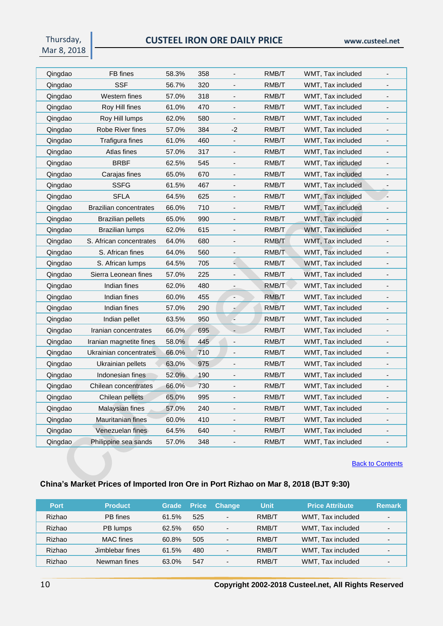Thursday, Mar 8, 2018

| Qingdao | FB fines                      | 58.3% | 358 |                          | RMB/T | WMT, Tax included |                          |
|---------|-------------------------------|-------|-----|--------------------------|-------|-------------------|--------------------------|
| Qingdao | SSF                           | 56.7% | 320 |                          | RMB/T | WMT, Tax included |                          |
| Qingdao | Western fines                 | 57.0% | 318 | $\blacksquare$           | RMB/T | WMT, Tax included | $\overline{\phantom{a}}$ |
| Qingdao | Roy Hill fines                | 61.0% | 470 |                          | RMB/T | WMT, Tax included |                          |
| Qingdao | Roy Hill lumps                | 62.0% | 580 |                          | RMB/T | WMT, Tax included | $\overline{\phantom{a}}$ |
| Qingdao | Robe River fines              | 57.0% | 384 | -2                       | RMB/T | WMT, Tax included |                          |
| Qingdao | Trafigura fines               | 61.0% | 460 | $\overline{\phantom{a}}$ | RMB/T | WMT, Tax included | $\overline{\phantom{a}}$ |
| Qingdao | Atlas fines                   | 57.0% | 317 |                          | RMB/T | WMT, Tax included | $\overline{\phantom{a}}$ |
| Qingdao | <b>BRBF</b>                   | 62.5% | 545 |                          | RMB/T | WMT, Tax included |                          |
| Qingdao | Carajas fines                 | 65.0% | 670 |                          | RMB/T | WMT, Tax included | $\overline{\phantom{a}}$ |
| Qingdao | <b>SSFG</b>                   | 61.5% | 467 |                          | RMB/T | WMT, Tax included |                          |
| Qingdao | <b>SFLA</b>                   | 64.5% | 625 | $\overline{\phantom{m}}$ | RMB/T | WMT, Tax included | Ξ.                       |
| Qingdao | <b>Brazilian concentrates</b> | 66.0% | 710 |                          | RMB/T | WMT, Tax included |                          |
| Qingdao | <b>Brazilian pellets</b>      | 65.0% | 990 |                          | RMB/T | WMT, Tax included | $\overline{\phantom{a}}$ |
| Qingdao | Brazilian lumps               | 62.0% | 615 |                          | RMB/T | WMT, Tax included |                          |
| Qingdao | S. African concentrates       | 64.0% | 680 |                          | RMB/T | WMT, Tax included | $\centerdot$             |
| Qingdao | S. African fines              | 64.0% | 560 | $\blacksquare$           | RMB/T | WMT, Tax included | $\overline{\phantom{a}}$ |
| Qingdao | S. African lumps              | 64.5% | 705 |                          | RMB/T | WMT, Tax included |                          |
| Qingdao | Sierra Leonean fines          | 57.0% | 225 |                          | RMB/T | WMT, Tax included |                          |
| Qingdao | Indian fines                  | 62.0% | 480 |                          | RMB/T | WMT, Tax included |                          |
| Qingdao | Indian fines                  | 60.0% | 455 | $\overline{\phantom{a}}$ | RMB/T | WMT, Tax included | $\overline{\phantom{a}}$ |
| Qingdao | Indian fines                  | 57.0% | 290 | $\tilde{\phantom{a}}$    | RMB/T | WMT, Tax included | $\overline{\phantom{a}}$ |
| Qingdao | Indian pellet                 | 63.5% | 950 |                          | RMB/T | WMT, Tax included |                          |
| Qingdao | Iranian concentrates          | 66.0% | 695 |                          | RMB/T | WMT, Tax included | $\overline{\phantom{a}}$ |
| Qingdao | Iranian magnetite fines       | 58.0% | 445 |                          | RMB/T | WMT, Tax included |                          |
| Qingdao | Ukrainian concentrates        | 66.0% | 710 |                          | RMB/T | WMT, Tax included | $\overline{\phantom{a}}$ |
| Qingdao | Ukrainian pellets             | 63.0% | 975 |                          | RMB/T | WMT, Tax included | $\overline{\phantom{a}}$ |
| Qingdao | Indonesian fines              | 52.0% | 190 |                          | RMB/T | WMT, Tax included |                          |
| Qingdao | Chilean concentrates          | 66.0% | 730 |                          | RMB/T | WMT, Tax included | $\overline{\phantom{a}}$ |
| Qingdao | Chilean pellets               | 65.0% | 995 |                          | RMB/T | WMT, Tax included |                          |
| Qingdao | Malaysian fines               | 57.0% | 240 | $\blacksquare$           | RMB/T | WMT, Tax included | $\overline{\phantom{a}}$ |
| Qingdao | Mauritanian fines             | 60.0% | 410 |                          | RMB/T | WMT, Tax included |                          |
| Qingdao | Venezuelan fines              | 64.5% | 640 |                          | RMB/T | WMT, Tax included | $\overline{\phantom{a}}$ |
| Qingdao | Philippine sea sands          | 57.0% | 348 |                          | RMB/T | WMT, Tax included |                          |

**[Back to Contents](#page-0-0)** 

## <span id="page-9-0"></span>**China's Market Prices of Imported Iron Ore in Port Rizhao on Mar 8, 2018 (BJT 9:30)**

| <b>Port</b> | <b>Product</b>   | <b>Grade</b> | <b>Price</b> | <b>Change</b>                | Unit  | <b>Price Attribute</b> | <b>Remark</b> |
|-------------|------------------|--------------|--------------|------------------------------|-------|------------------------|---------------|
| Rizhao      | PB fines         | 61.5%        | 525          | $\overline{\phantom{a}}$     | RMB/T | WMT, Tax included      |               |
| Rizhao      | PB lumps         | 62.5%        | 650          | $\overline{\phantom{a}}$     | RMB/T | WMT, Tax included      |               |
| Rizhao      | <b>MAC</b> fines | 60.8%        | 505          | $\blacksquare$               | RMB/T | WMT, Tax included      |               |
| Rizhao      | Jimblebar fines  | 61.5%        | 480          | $\qquad \qquad \blacksquare$ | RMB/T | WMT, Tax included      |               |
| Rizhao      | Newman fines     | 63.0%        | 547          | $\overline{\phantom{0}}$     | RMB/T | WMT, Tax included      |               |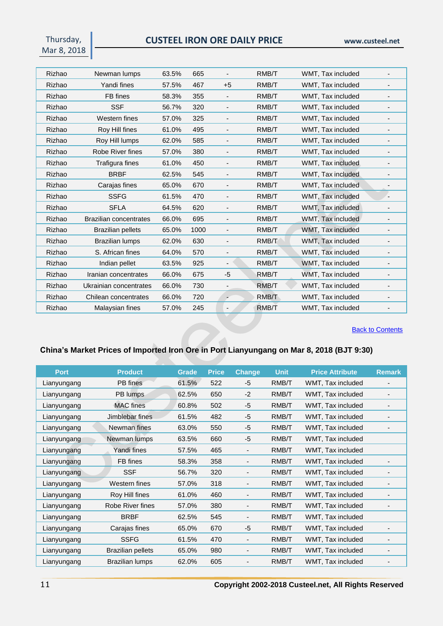Thursday, Mar 8, 2018

| Rizhao | Newman lumps                  | 63.5% | 665  |                              | RMB/T | WMT, Tax included |                          |
|--------|-------------------------------|-------|------|------------------------------|-------|-------------------|--------------------------|
| Rizhao | Yandi fines                   | 57.5% | 467  | $+5$                         | RMB/T | WMT, Tax included | $\overline{\phantom{0}}$ |
| Rizhao | FB fines                      | 58.3% | 355  |                              | RMB/T | WMT, Tax included |                          |
| Rizhao | <b>SSF</b>                    | 56.7% | 320  | $\overline{\phantom{a}}$     | RMB/T | WMT, Tax included | $\overline{\phantom{a}}$ |
| Rizhao | Western fines                 | 57.0% | 325  | $\overline{\phantom{a}}$     | RMB/T | WMT, Tax included |                          |
| Rizhao | Roy Hill fines                | 61.0% | 495  | $\overline{a}$               | RMB/T | WMT, Tax included |                          |
| Rizhao | Roy Hill lumps                | 62.0% | 585  | $\overline{\phantom{a}}$     | RMB/T | WMT, Tax included | $\overline{\phantom{0}}$ |
| Rizhao | Robe River fines              | 57.0% | 380  |                              | RMB/T | WMT, Tax included |                          |
| Rizhao | Trafigura fines               | 61.0% | 450  | $\overline{\phantom{a}}$     | RMB/T | WMT, Tax included |                          |
| Rizhao | <b>BRBF</b>                   | 62.5% | 545  | $\overline{a}$               | RMB/T | WMT, Tax included |                          |
| Rizhao | Carajas fines                 | 65.0% | 670  | $\overline{a}$               | RMB/T | WMT, Tax included |                          |
| Rizhao | <b>SSFG</b>                   | 61.5% | 470  | $\overline{\phantom{a}}$     | RMB/T | WMT, Tax included |                          |
| Rizhao | <b>SFLA</b>                   | 64.5% | 620  |                              | RMB/T | WMT, Tax included |                          |
| Rizhao | <b>Brazilian concentrates</b> | 66.0% | 695  | $\qquad \qquad \blacksquare$ | RMB/T | WMT, Tax included | $\overline{\phantom{a}}$ |
| Rizhao | <b>Brazilian pellets</b>      | 65.0% | 1000 | $\overline{\phantom{a}}$     | RMB/T | WMT, Tax included |                          |
| Rizhao | <b>Brazilian lumps</b>        | 62.0% | 630  | $\overline{a}$               | RMB/T | WMT, Tax included |                          |
| Rizhao | S. African fines              | 64.0% | 570  | $\qquad \qquad \blacksquare$ | RMB/T | WMT, Tax included | $\overline{\phantom{a}}$ |
| Rizhao | Indian pellet                 | 63.5% | 925  |                              | RMB/T | WMT, Tax included |                          |
| Rizhao | Iranian concentrates          | 66.0% | 675  | $-5$                         | RMB/T | WMT, Tax included |                          |
| Rizhao | Ukrainian concentrates        | 66.0% | 730  | $\overline{a}$               | RMB/T | WMT, Tax included | $\overline{\phantom{0}}$ |
| Rizhao | Chilean concentrates          | 66.0% | 720  | ÷                            | RMB/T | WMT, Tax included |                          |
| Rizhao | Malaysian fines               | 57.0% | 245  | $\overline{\phantom{a}}$     | RMB/T | WMT, Tax included |                          |

**[Back to Contents](#page-0-0)** 

# <span id="page-10-0"></span>**China's Market Prices of Imported Iron Ore in Port Lianyungang on Mar 8, 2018 (BJT 9:30)**

| <b>Port</b> | <b>Product</b>           | Grade | <b>Price</b> | <b>Change</b>            | <b>Unit</b> | <b>Price Attribute</b> | <b>Remark</b>            |
|-------------|--------------------------|-------|--------------|--------------------------|-------------|------------------------|--------------------------|
| Lianyungang | PB fines                 | 61.5% | 522          | -5                       | RMB/T       | WMT, Tax included      |                          |
| Lianyungang | PB lumps                 | 62.5% | 650          | $-2$                     | RMB/T       | WMT, Tax included      |                          |
| Lianyungang | <b>MAC</b> fines         | 60.8% | 502          | -5                       | RMB/T       | WMT, Tax included      |                          |
| Lianyungang | Jimblebar fines          | 61.5% | 482          | -5                       | RMB/T       | WMT, Tax included      |                          |
| Lianyungang | Newman fines             | 63.0% | 550          | -5                       | RMB/T       | WMT, Tax included      |                          |
| Lianyungang | Newman lumps             | 63.5% | 660          | -5                       | RMB/T       | WMT, Tax included      |                          |
| Lianyungang | Yandi fines              | 57.5% | 465          | $\overline{\phantom{a}}$ | RMB/T       | WMT, Tax included      |                          |
| Lianyungang | FB fines                 | 58.3% | 358          |                          | RMB/T       | WMT, Tax included      |                          |
| Lianyungang | <b>SSF</b>               | 56.7% | 320          |                          | RMB/T       | WMT, Tax included      |                          |
| Lianyungang | Western fines            | 57.0% | 318          |                          | RMB/T       | WMT, Tax included      |                          |
| Lianyungang | Roy Hill fines           | 61.0% | 460          | $\overline{\phantom{0}}$ | RMB/T       | WMT, Tax included      | $\overline{\phantom{0}}$ |
| Lianyungang | Robe River fines         | 57.0% | 380          |                          | RMB/T       | WMT, Tax included      |                          |
| Lianyungang | <b>BRBF</b>              | 62.5% | 545          | $\overline{\phantom{a}}$ | RMB/T       | WMT, Tax included      |                          |
| Lianyungang | Carajas fines            | 65.0% | 670          | -5                       | RMB/T       | WMT, Tax included      |                          |
| Lianyungang | <b>SSFG</b>              | 61.5% | 470          | $\overline{\phantom{a}}$ | RMB/T       | WMT, Tax included      | -                        |
| Lianyungang | <b>Brazilian pellets</b> | 65.0% | 980          | $\overline{\phantom{0}}$ | RMB/T       | WMT, Tax included      |                          |
| Lianyungang | <b>Brazilian lumps</b>   | 62.0% | 605          |                          | RMB/T       | WMT, Tax included      |                          |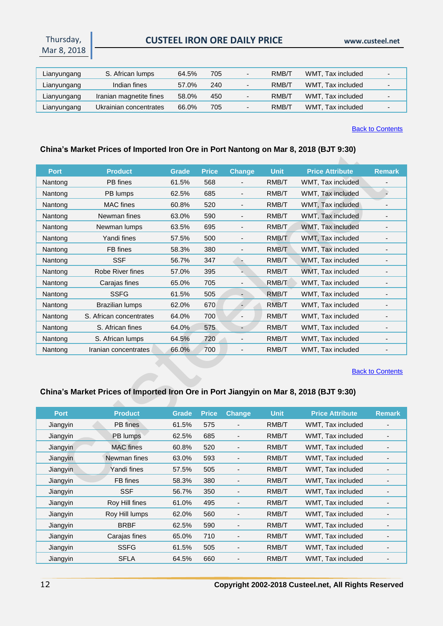## **CUSTEEL IRON ORE DAILY PRICE www.custeel.net**

| Lianyungang | S. African lumps        | 64.5% | 705 | $\overline{\phantom{0}}$ | RMB/T | WMT, Tax included |  |
|-------------|-------------------------|-------|-----|--------------------------|-------|-------------------|--|
| Lianyungang | Indian fines            | 57.0% | 240 | $\overline{\phantom{0}}$ | RMB/T | WMT, Tax included |  |
| Lianyungang | Iranian magnetite fines | 58.0% | 450 | $\overline{\phantom{0}}$ | RMB/T | WMT, Tax included |  |
| Lianyungang | Ukrainian concentrates  | 66.0% | 705 | $\overline{\phantom{a}}$ | RMB/T | WMT, Tax included |  |

#### [Back to Contents](#page-0-0)

## <span id="page-11-0"></span>**China's Market Prices of Imported Iron Ore in Port Nantong on Mar 8, 2018 (BJT 9:30)**

| <b>Port</b> | <b>Product</b>          | <b>Grade</b> | <b>Price</b> | <b>Change</b>                | <b>Unit</b> | <b>Price Attribute</b> | <b>Remark</b>            |
|-------------|-------------------------|--------------|--------------|------------------------------|-------------|------------------------|--------------------------|
| Nantong     | PB fines                | 61.5%        | 568          | $\overline{\phantom{0}}$     | RMB/T       | WMT, Tax included      |                          |
| Nantong     | PB lumps                | 62.5%        | 685          | -                            | RMB/T       | WMT, Tax included      |                          |
| Nantong     | <b>MAC</b> fines        | 60.8%        | 520          | $\qquad \qquad \blacksquare$ | RMB/T       | WMT, Tax included      |                          |
| Nantong     | Newman fines            | 63.0%        | 590          | $\qquad \qquad \blacksquare$ | RMB/T       | WMT, Tax included      |                          |
| Nantong     | Newman lumps            | 63.5%        | 695          | $\qquad \qquad \blacksquare$ | RMB/T       | WMT, Tax included      |                          |
| Nantong     | Yandi fines             | 57.5%        | 500          | $\qquad \qquad \blacksquare$ | RMB/T       | WMT, Tax included      |                          |
| Nantong     | FB fines                | 58.3%        | 380          | $\qquad \qquad \blacksquare$ | RMB/T       | WMT, Tax included      |                          |
| Nantong     | <b>SSF</b>              | 56.7%        | 347          |                              | RMB/T       | WMT, Tax included      |                          |
| Nantong     | Robe River fines        | 57.0%        | 395          |                              | RMB/T       | WMT, Tax included      |                          |
| Nantong     | Carajas fines           | 65.0%        | 705          | $\qquad \qquad \blacksquare$ | RMB/T       | WMT, Tax included      | $\overline{\phantom{a}}$ |
| Nantong     | <b>SSFG</b>             | 61.5%        | 505          | $\overline{\phantom{a}}$     | RMB/T       | WMT, Tax included      |                          |
| Nantong     | Brazilian lumps         | 62.0%        | 670          |                              | RMB/T       | WMT, Tax included      |                          |
| Nantong     | S. African concentrates | 64.0%        | 700          | $\blacksquare$               | RMB/T       | WMT, Tax included      |                          |
| Nantong     | S. African fines        | 64.0%        | 575          | $\overline{\phantom{0}}$     | RMB/T       | WMT, Tax included      |                          |
| Nantong     | S. African lumps        | 64.5%        | 720          | -                            | RMB/T       | WMT, Tax included      |                          |
| Nantong     | Iranian concentrates    | 66.0%        | 700          | $\qquad \qquad \blacksquare$ | RMB/T       | WMT, Tax included      |                          |

#### [Back to Contents](#page-0-0)

# <span id="page-11-1"></span>**China's Market Prices of Imported Iron Ore in Port Jiangyin on Mar 8, 2018 (BJT 9:30)**

| <b>Port</b> | <b>Product</b>   | Grade | <b>Price</b> | <b>Change</b>            | <b>Unit</b> | <b>Price Attribute</b> | <b>Remark</b> |
|-------------|------------------|-------|--------------|--------------------------|-------------|------------------------|---------------|
| Jiangyin    | PB fines         | 61.5% | 575          | $\overline{\phantom{a}}$ | RMB/T       | WMT, Tax included      |               |
| Jiangyin    | PB lumps         | 62.5% | 685          |                          | RMB/T       | WMT, Tax included      |               |
| Jiangyin    | <b>MAC</b> fines | 60.8% | 520          |                          | RMB/T       | WMT. Tax included      |               |
| Jiangyin    | Newman fines     | 63.0% | 593          |                          | RMB/T       | WMT, Tax included      |               |
| Jiangyin    | Yandi fines      | 57.5% | 505          |                          | RMB/T       | WMT, Tax included      |               |
| Jiangyin    | FB fines         | 58.3% | 380          |                          | RMB/T       | WMT, Tax included      |               |
| Jiangyin    | <b>SSF</b>       | 56.7% | 350          |                          | RMB/T       | WMT, Tax included      |               |
| Jiangyin    | Roy Hill fines   | 61.0% | 495          |                          | RMB/T       | WMT, Tax included      |               |
| Jiangyin    | Roy Hill lumps   | 62.0% | 560          | -                        | RMB/T       | WMT, Tax included      |               |
| Jiangyin    | <b>BRBF</b>      | 62.5% | 590          |                          | RMB/T       | WMT, Tax included      |               |
| Jiangyin    | Carajas fines    | 65.0% | 710          |                          | RMB/T       | WMT, Tax included      |               |
| Jiangyin    | <b>SSFG</b>      | 61.5% | 505          | $\overline{\phantom{a}}$ | RMB/T       | WMT, Tax included      |               |
| Jiangyin    | <b>SFLA</b>      | 64.5% | 660          |                          | RMB/T       | WMT, Tax included      |               |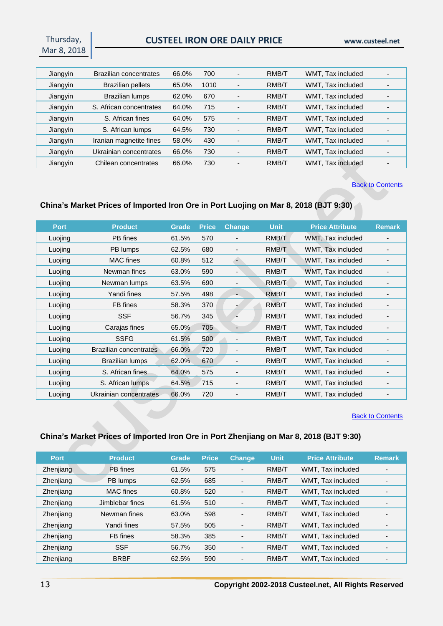## **CUSTEEL IRON ORE DAILY PRICE www.custeel.net**

| Jiangyin | <b>Brazilian concentrates</b> | 66.0% | 700  | $\overline{\phantom{0}}$     | RMB/T | WMT, Tax included |  |
|----------|-------------------------------|-------|------|------------------------------|-------|-------------------|--|
| Jiangyin | <b>Brazilian pellets</b>      | 65.0% | 1010 | $\overline{\phantom{a}}$     | RMB/T | WMT, Tax included |  |
| Jiangyin | Brazilian lumps               | 62.0% | 670  | $\overline{\phantom{a}}$     | RMB/T | WMT, Tax included |  |
| Jiangyin | S. African concentrates       | 64.0% | 715  | $\overline{\phantom{a}}$     | RMB/T | WMT, Tax included |  |
| Jiangyin | S. African fines              | 64.0% | 575  | $\overline{\phantom{a}}$     | RMB/T | WMT, Tax included |  |
| Jiangyin | S. African lumps              | 64.5% | 730  |                              | RMB/T | WMT. Tax included |  |
| Jiangyin | Iranian magnetite fines       | 58.0% | 430  |                              | RMB/T | WMT, Tax included |  |
| Jiangyin | Ukrainian concentrates        | 66.0% | 730  | $\overline{\phantom{0}}$     | RMB/T | WMT, Tax included |  |
| Jiangyin | Chilean concentrates          | 66.0% | 730  | $\qquad \qquad \blacksquare$ | RMB/T | WMT, Tax included |  |

**[Back to Contents](#page-0-0)** 

#### <span id="page-12-0"></span>**China's Market Prices of Imported Iron Ore in Port Luojing on Mar 8, 2018 (BJT 9:30)**

| <b>Port</b> | <b>Product</b>         | <b>Grade</b> | <b>Price</b> | <b>Change</b>                | <b>Unit</b> | <b>Price Attribute</b> | <b>Remark</b>                |
|-------------|------------------------|--------------|--------------|------------------------------|-------------|------------------------|------------------------------|
| Luojing     | PB fines               | 61.5%        | 570          | $\qquad \qquad \blacksquare$ | RMB/T       | WMT, Tax included      |                              |
| Luojing     | PB lumps               | 62.5%        | 680          | $\overline{\phantom{a}}$     | RMB/T       | WMT, Tax included      | -                            |
| Luojing     | <b>MAC</b> fines       | 60.8%        | 512          | Ξ                            | RMB/T       | WMT, Tax included      |                              |
| Luojing     | Newman fines           | 63.0%        | 590          | $\overline{\phantom{a}}$     | RMB/T       | WMT, Tax included      |                              |
| Luojing     | Newman lumps           | 63.5%        | 690          | $\overline{\phantom{a}}$     | RMB/T       | WMT, Tax included      | $\qquad \qquad \blacksquare$ |
| Luojing     | Yandi fines            | 57.5%        | 498          |                              | RMB/T       | WMT, Tax included      |                              |
| Luojing     | FB fines               | 58.3%        | 370          |                              | RMB/T       | WMT, Tax included      |                              |
| Luojing     | <b>SSF</b>             | 56.7%        | 345          |                              | RMB/T       | WMT, Tax included      | -                            |
| Luojing     | Carajas fines          | 65.0%        | 705          | $\overline{\phantom{0}}$     | RMB/T       | WMT, Tax included      |                              |
| Luojing     | <b>SSFG</b>            | 61.5%        | 500          | $\overline{\phantom{a}}$     | RMB/T       | WMT, Tax included      |                              |
| Luojing     | Brazilian concentrates | 66.0%        | 720          | $\overline{\phantom{a}}$     | RMB/T       | WMT, Tax included      |                              |
| Luojing     | Brazilian lumps        | 62.0%        | 670          | $\overline{\phantom{a}}$     | RMB/T       | WMT, Tax included      |                              |
| Luojing     | S. African fines       | 64.0%        | 575          | $\overline{\phantom{a}}$     | RMB/T       | WMT, Tax included      |                              |
| Luojing     | S. African lumps       | 64.5%        | 715          | $\qquad \qquad \blacksquare$ | RMB/T       | WMT, Tax included      |                              |
| Luojing     | Ukrainian concentrates | 66.0%        | 720          |                              | RMB/T       | WMT, Tax included      |                              |

#### **[Back to Contents](#page-0-0)**

## <span id="page-12-1"></span>**China's Market Prices of Imported Iron Ore in Port Zhenjiang on Mar 8, 2018 (BJT 9:30)**

| <b>Port</b> | <b>Product</b>   | <b>Grade</b> | <b>Price</b> | <b>Change</b>            | <b>Unit</b> | <b>Price Attribute</b> | <b>Remark</b> |
|-------------|------------------|--------------|--------------|--------------------------|-------------|------------------------|---------------|
| Zhenjiang   | PB fines         | 61.5%        | 575          | $\overline{\phantom{0}}$ | RMB/T       | WMT, Tax included      |               |
| Zhenjiang   | PB lumps         | 62.5%        | 685          | $\overline{\phantom{0}}$ | RMB/T       | WMT, Tax included      |               |
| Zhenjiang   | <b>MAC</b> fines | 60.8%        | 520          | $\overline{\phantom{0}}$ | RMB/T       | WMT, Tax included      |               |
| Zhenjiang   | Jimblebar fines  | 61.5%        | 510          | $\overline{\phantom{0}}$ | RMB/T       | WMT, Tax included      |               |
| Zhenjiang   | Newman fines     | 63.0%        | 598          | $\overline{\phantom{a}}$ | RMB/T       | WMT, Tax included      |               |
| Zhenjiang   | Yandi fines      | 57.5%        | 505          | $\overline{\phantom{0}}$ | RMB/T       | WMT, Tax included      |               |
| Zhenjiang   | FB fines         | 58.3%        | 385          | $\overline{\phantom{0}}$ | RMB/T       | WMT, Tax included      |               |
| Zhenjiang   | <b>SSF</b>       | 56.7%        | 350          | $\overline{\phantom{0}}$ | RMB/T       | WMT, Tax included      |               |
| Zhenjiang   | <b>BRBF</b>      | 62.5%        | 590          | $\overline{\phantom{a}}$ | RMB/T       | WMT, Tax included      |               |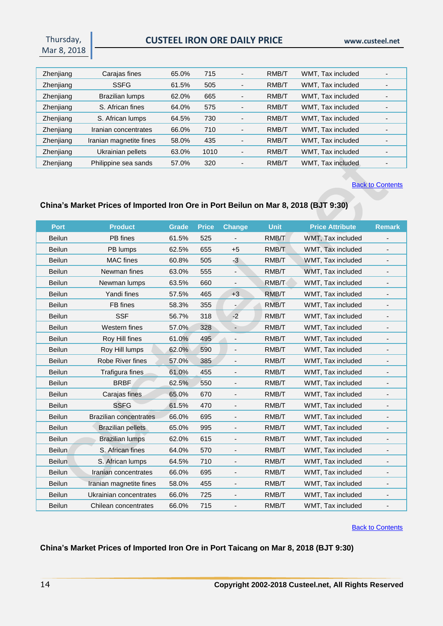Thursday, Mar 8, 2018

| Zhenjiang | Carajas fines           | 65.0% | 715  | $\overline{\phantom{0}}$ | RMB/T | WMT, Tax included |  |
|-----------|-------------------------|-------|------|--------------------------|-------|-------------------|--|
| Zhenjiang | <b>SSFG</b>             | 61.5% | 505  | $\overline{\phantom{a}}$ | RMB/T | WMT, Tax included |  |
| Zhenjiang | <b>Brazilian lumps</b>  | 62.0% | 665  | $\overline{\phantom{0}}$ | RMB/T | WMT, Tax included |  |
| Zhenjiang | S. African fines        | 64.0% | 575  | $\overline{\phantom{0}}$ | RMB/T | WMT, Tax included |  |
| Zhenjiang | S. African lumps        | 64.5% | 730  | $\overline{\phantom{0}}$ | RMB/T | WMT, Tax included |  |
| Zhenjiang | Iranian concentrates    | 66.0% | 710  | $\overline{\phantom{0}}$ | RMB/T | WMT. Tax included |  |
| Zhenjiang | Iranian magnetite fines | 58.0% | 435  |                          | RMB/T | WMT, Tax included |  |
| Zhenjiang | Ukrainian pellets       | 63.0% | 1010 | $\overline{\phantom{0}}$ | RMB/T | WMT, Tax included |  |
| Zhenjiang | Philippine sea sands    | 57.0% | 320  | $\overline{\phantom{0}}$ | RMB/T | WMT, Tax included |  |

**[Back to Contents](#page-0-0)** 

### <span id="page-13-0"></span>**China's Market Prices of Imported Iron Ore in Port Beilun on Mar 8, 2018 (BJT 9:30)**

| <b>Port</b>   | <b>Product</b>                | <b>Grade</b> | <b>Price</b> | <b>Change</b>                | <b>Unit</b> | <b>Price Attribute</b> | <b>Remark</b>                |
|---------------|-------------------------------|--------------|--------------|------------------------------|-------------|------------------------|------------------------------|
| <b>Beilun</b> | PB fines                      | 61.5%        | 525          |                              | RMB/T       | WMT, Tax included      |                              |
| Beilun        | PB lumps                      | 62.5%        | 655          | $+5$                         | RMB/T       | WMT, Tax included      | $\overline{\phantom{a}}$     |
| Beilun        | <b>MAC</b> fines              | 60.8%        | 505          | $-3$                         | RMB/T       | WMT, Tax included      | $\overline{\phantom{a}}$     |
| Beilun        | Newman fines                  | 63.0%        | 555          | $\qquad \qquad \blacksquare$ | RMB/T       | WMT, Tax included      | $\qquad \qquad \blacksquare$ |
| Beilun        | Newman lumps                  | 63.5%        | 660          |                              | RMB/T       | WMT, Tax included      |                              |
| Beilun        | Yandi fines                   | 57.5%        | 465          | $+3$                         | RMB/T       | WMT, Tax included      |                              |
| Beilun        | FB fines                      | 58.3%        | 355          | $\blacksquare$               | RMB/T       | WMT, Tax included      |                              |
| <b>Beilun</b> | <b>SSF</b>                    | 56.7%        | 318          | $-2$                         | RMB/T       | WMT, Tax included      |                              |
| Beilun        | Western fines                 | 57.0%        | 328          | $\overline{\phantom{a}}$     | RMB/T       | WMT, Tax included      | $\overline{\phantom{0}}$     |
| <b>Beilun</b> | Roy Hill fines                | 61.0%        | 495          | $\overline{a}$               | RMB/T       | WMT, Tax included      | $\overline{\phantom{a}}$     |
| Beilun        | Roy Hill lumps                | 62.0%        | 590          | $\qquad \qquad \blacksquare$ | RMB/T       | WMT, Tax included      | $\overline{\phantom{a}}$     |
| <b>Beilun</b> | Robe River fines              | 57.0%        | 385          |                              | RMB/T       | WMT, Tax included      | -                            |
| Beilun        | Trafigura fines               | 61.0%        | 455          |                              | RMB/T       | WMT, Tax included      |                              |
| Beilun        | <b>BRBF</b>                   | 62.5%        | 550          | $\overline{a}$               | RMB/T       | WMT, Tax included      |                              |
| Beilun        | Carajas fines                 | 65.0%        | 670          | $\overline{\phantom{a}}$     | RMB/T       | WMT, Tax included      | $\overline{\phantom{a}}$     |
| Beilun        | <b>SSFG</b>                   | 61.5%        | 470          | $\overline{\phantom{a}}$     | RMB/T       | WMT, Tax included      |                              |
| <b>Beilun</b> | <b>Brazilian concentrates</b> | 66.0%        | 695          | $\qquad \qquad \blacksquare$ | RMB/T       | WMT, Tax included      | $\overline{\phantom{a}}$     |
| <b>Beilun</b> | <b>Brazilian pellets</b>      | 65.0%        | 995          | $\overline{\phantom{a}}$     | RMB/T       | WMT, Tax included      | $\overline{\phantom{a}}$     |
| Beilun        | <b>Brazilian lumps</b>        | 62.0%        | 615          | $\centerdot$                 | RMB/T       | WMT, Tax included      | $\overline{\phantom{a}}$     |
| <b>Beilun</b> | S. African fines              | 64.0%        | 570          |                              | RMB/T       | WMT, Tax included      |                              |
| Beilun        | S. African lumps              | 64.5%        | 710          |                              | RMB/T       | WMT, Tax included      | -                            |
| Beilun        | Iranian concentrates          | 66.0%        | 695          | $\qquad \qquad \blacksquare$ | RMB/T       | WMT, Tax included      |                              |
| Beilun        | Iranian magnetite fines       | 58.0%        | 455          | $\overline{\phantom{a}}$     | RMB/T       | WMT, Tax included      | -                            |
| Beilun        | Ukrainian concentrates        | 66.0%        | 725          | $\overline{\phantom{a}}$     | RMB/T       | WMT, Tax included      |                              |
| Beilun        | Chilean concentrates          | 66.0%        | 715          | $\overline{\phantom{a}}$     | RMB/T       | WMT, Tax included      | $\qquad \qquad \blacksquare$ |

[Back to Contents](#page-0-0)

## <span id="page-13-1"></span>**China's Market Prices of Imported Iron Ore in Port Taicang on Mar 8, 2018 (BJT 9:30)**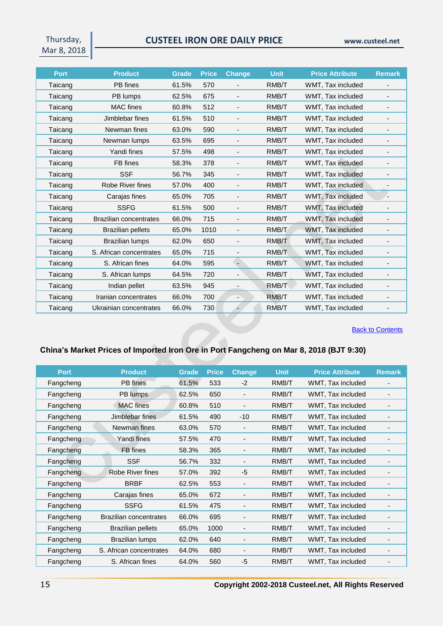# **CUSTEEL IRON ORE DAILY PRICE www.custeel.net**

| <b>Port</b> | <b>Product</b>                | <b>Grade</b> | <b>Price</b> | <b>Change</b>            | <b>Unit</b> | <b>Price Attribute</b> | <b>Remark</b>                |
|-------------|-------------------------------|--------------|--------------|--------------------------|-------------|------------------------|------------------------------|
| Taicang     | PB fines                      | 61.5%        | 570          |                          | RMB/T       | WMT, Tax included      |                              |
| Taicang     | PB lumps                      | 62.5%        | 675          | $\overline{\phantom{0}}$ | RMB/T       | WMT, Tax included      | $\overline{\phantom{0}}$     |
| Taicang     | <b>MAC</b> fines              | 60.8%        | 512          | $\overline{\phantom{a}}$ | RMB/T       | WMT, Tax included      | $\overline{\phantom{a}}$     |
| Taicang     | Jimblebar fines               | 61.5%        | 510          |                          | RMB/T       | WMT, Tax included      |                              |
| Taicang     | Newman fines                  | 63.0%        | 590          | $\overline{\phantom{a}}$ | RMB/T       | WMT, Tax included      | $\overline{\phantom{a}}$     |
| Taicang     | Newman lumps                  | 63.5%        | 695          | $\overline{\phantom{a}}$ | RMB/T       | WMT, Tax included      | $\overline{\phantom{a}}$     |
| Taicang     | Yandi fines                   | 57.5%        | 498          | $\overline{\phantom{a}}$ | RMB/T       | WMT, Tax included      | ٠                            |
| Taicang     | FB fines                      | 58.3%        | 378          | $\overline{\phantom{0}}$ | RMB/T       | WMT, Tax included      | $\overline{\phantom{a}}$     |
| Taicang     | <b>SSF</b>                    | 56.7%        | 345          |                          | RMB/T       | WMT, Tax included      |                              |
| Taicang     | Robe River fines              | 57.0%        | 400          | $\overline{\phantom{a}}$ | RMB/T       | WMT, Tax included      | $\overline{\phantom{a}}$     |
| Taicang     | Carajas fines                 | 65.0%        | 705          | $\overline{a}$           | RMB/T       | WMT, Tax included      |                              |
| Taicang     | <b>SSFG</b>                   | 61.5%        | 500          |                          | RMB/T       | WMT, Tax included      |                              |
| Taicang     | <b>Brazilian concentrates</b> | 66.0%        | 715          | $\overline{\phantom{a}}$ | RMB/T       | WMT, Tax included      | $\overline{\phantom{a}}$     |
| Taicang     | <b>Brazilian pellets</b>      | 65.0%        | 1010         |                          | RMB/T       | WMT, Tax included      |                              |
| Taicang     | <b>Brazilian lumps</b>        | 62.0%        | 650          | $\overline{\phantom{a}}$ | RMB/T       | WMT, Tax included      |                              |
| Taicang     | S. African concentrates       | 65.0%        | 715          |                          | RMB/T       | WMT, Tax included      | $\overline{\phantom{a}}$     |
| Taicang     | S. African fines              | 64.0%        | 595          | $\overline{\phantom{a}}$ | RMB/T       | WMT, Tax included      |                              |
| Taicang     | S. African lumps              | 64.5%        | 720          |                          | RMB/T       | WMT, Tax included      | $\overline{\phantom{a}}$     |
| Taicang     | Indian pellet                 | 63.5%        | 945          | $\overline{\phantom{a}}$ | RMB/T       | WMT, Tax included      | $\overline{\phantom{a}}$     |
| Taicang     | Iranian concentrates          | 66.0%        | 700          | ٠                        | RMB/T       | WMT, Tax included      | $\qquad \qquad \blacksquare$ |
| Taicang     | Ukrainian concentrates        | 66.0%        | 730          |                          | RMB/T       | WMT, Tax included      |                              |

**[Back to Contents](#page-0-0)** 

# <span id="page-14-0"></span>**China's Market Prices of Imported Iron Ore in Port Fangcheng on Mar 8, 2018 (BJT 9:30)**

| <b>Port</b> | <b>Product</b>                | <b>Grade</b> | <b>Price</b> | <b>Change</b>            | <b>Unit</b> | <b>Price Attribute</b> | <b>Remark</b>            |
|-------------|-------------------------------|--------------|--------------|--------------------------|-------------|------------------------|--------------------------|
| Fangcheng   | PB fines                      | 61.5%        | 533          | $-2$                     | RMB/T       | WMT, Tax included      |                          |
| Fangcheng   | PB lumps                      | 62.5%        | 650          | $\overline{\phantom{a}}$ | RMB/T       | WMT, Tax included      | $\blacksquare$           |
| Fangcheng   | <b>MAC</b> fines              | 60.8%        | 510          |                          | RMB/T       | WMT, Tax included      |                          |
| Fangcheng   | Jimblebar fines               | 61.5%        | 490          | $-10$                    | RMB/T       | WMT, Tax included      |                          |
| Fangcheng   | Newman fines                  | 63.0%        | 570          | $\overline{\phantom{a}}$ | RMB/T       | WMT, Tax included      | $\overline{\phantom{a}}$ |
| Fangcheng   | Yandi fines                   | 57.5%        | 470          | $\overline{\phantom{a}}$ | RMB/T       | WMT, Tax included      | -                        |
| Fangcheng   | FB fines                      | 58.3%        | 365          | $\overline{\phantom{a}}$ | RMB/T       | WMT, Tax included      | $\overline{\phantom{a}}$ |
| Fangcheng   | <b>SSF</b>                    | 56.7%        | 332          | $\overline{\phantom{a}}$ | RMB/T       | WMT, Tax included      | -                        |
| Fangcheng   | Robe River fines              | 57.0%        | 392          | $-5$                     | RMB/T       | WMT, Tax included      | -                        |
| Fangcheng   | <b>BRBF</b>                   | 62.5%        | 553          |                          | RMB/T       | WMT, Tax included      |                          |
| Fangcheng   | Carajas fines                 | 65.0%        | 672          |                          | RMB/T       | WMT, Tax included      |                          |
| Fangcheng   | <b>SSFG</b>                   | 61.5%        | 475          |                          | RMB/T       | WMT, Tax included      | $\overline{\phantom{a}}$ |
| Fangcheng   | <b>Brazilian concentrates</b> | 66.0%        | 695          |                          | RMB/T       | WMT, Tax included      | -                        |
| Fangcheng   | <b>Brazilian pellets</b>      | 65.0%        | 1000         | $\overline{\phantom{a}}$ | RMB/T       | WMT, Tax included      |                          |
| Fangcheng   | <b>Brazilian lumps</b>        | 62.0%        | 640          |                          | RMB/T       | WMT, Tax included      | $\overline{\phantom{a}}$ |
| Fangcheng   | S. African concentrates       | 64.0%        | 680          |                          | RMB/T       | WMT, Tax included      | -                        |
| Fangcheng   | S. African fines              | 64.0%        | 560          | $-5$                     | RMB/T       | WMT, Tax included      |                          |